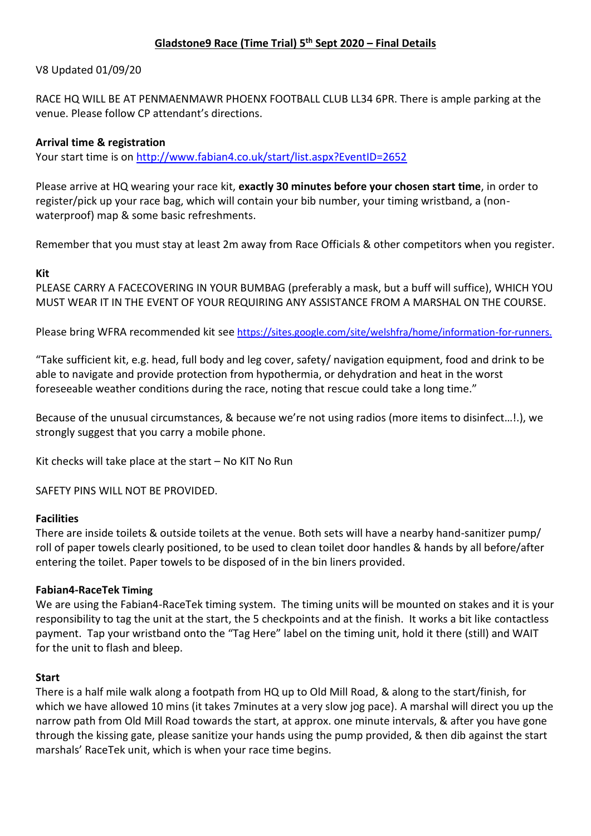# **Gladstone9 Race (Time Trial) 5 th Sept 2020 – Final Details**

### V8 Updated 01/09/20

RACE HQ WILL BE AT PENMAENMAWR PHOENX FOOTBALL CLUB LL34 6PR. There is ample parking at the venue. Please follow CP attendant's directions.

#### **Arrival time & registration**

Your start time is on<http://www.fabian4.co.uk/start/list.aspx?EventID=2652>

Please arrive at HQ wearing your race kit, **exactly 30 minutes before your chosen start time**, in order to register/pick up your race bag, which will contain your bib number, your timing wristband, a (nonwaterproof) map & some basic refreshments.

Remember that you must stay at least 2m away from Race Officials & other competitors when you register.

### **Kit**

PLEASE CARRY A FACECOVERING IN YOUR BUMBAG (preferably a mask, but a buff will suffice), WHICH YOU MUST WEAR IT IN THE EVENT OF YOUR REQUIRING ANY ASSISTANCE FROM A MARSHAL ON THE COURSE.

Please bring WFRA recommended kit see [https://sites.google.com/site/welshfra/home/information-for-runners.](https://sites.google.com/site/welshfra/home/information-for-runners)

"Take sufficient kit, e.g. head, full body and leg cover, safety/ navigation equipment, food and drink to be able to navigate and provide protection from hypothermia, or dehydration and heat in the worst foreseeable weather conditions during the race, noting that rescue could take a long time."

Because of the unusual circumstances, & because we're not using radios (more items to disinfect…!.), we strongly suggest that you carry a mobile phone.

Kit checks will take place at the start – No KIT No Run

SAFETY PINS WILL NOT BE PROVIDED.

#### **Facilities**

There are inside toilets & outside toilets at the venue. Both sets will have a nearby hand-sanitizer pump/ roll of paper towels clearly positioned, to be used to clean toilet door handles & hands by all before/after entering the toilet. Paper towels to be disposed of in the bin liners provided.

#### **Fabian4-RaceTek Timing**

We are using the Fabian4-RaceTek timing system. The timing units will be mounted on stakes and it is your responsibility to tag the unit at the start, the 5 checkpoints and at the finish. It works a bit like contactless payment. Tap your wristband onto the "Tag Here" label on the timing unit, hold it there (still) and WAIT for the unit to flash and bleep.

#### **Start**

There is a half mile walk along a footpath from HQ up to Old Mill Road, & along to the start/finish, for which we have allowed 10 mins (it takes 7minutes at a very slow jog pace). A marshal will direct you up the narrow path from Old Mill Road towards the start, at approx. one minute intervals, & after you have gone through the kissing gate, please sanitize your hands using the pump provided, & then dib against the start marshals' RaceTek unit, which is when your race time begins.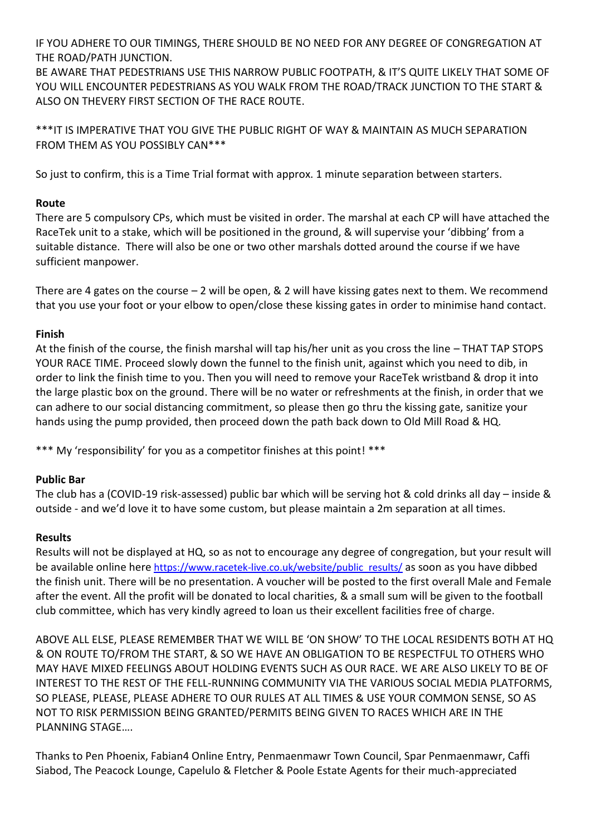IF YOU ADHERE TO OUR TIMINGS, THERE SHOULD BE NO NEED FOR ANY DEGREE OF CONGREGATION AT THE ROAD/PATH JUNCTION.

BE AWARE THAT PEDESTRIANS USE THIS NARROW PUBLIC FOOTPATH, & IT'S QUITE LIKELY THAT SOME OF YOU WILL ENCOUNTER PEDESTRIANS AS YOU WALK FROM THE ROAD/TRACK JUNCTION TO THE START & ALSO ON THEVERY FIRST SECTION OF THE RACE ROUTE.

\*\*\*IT IS IMPERATIVE THAT YOU GIVE THE PUBLIC RIGHT OF WAY & MAINTAIN AS MUCH SEPARATION FROM THEM AS YOU POSSIBLY CAN\*\*\*

So just to confirm, this is a Time Trial format with approx. 1 minute separation between starters.

## **Route**

There are 5 compulsory CPs, which must be visited in order. The marshal at each CP will have attached the RaceTek unit to a stake, which will be positioned in the ground, & will supervise your 'dibbing' from a suitable distance. There will also be one or two other marshals dotted around the course if we have sufficient manpower.

There are 4 gates on the course  $-2$  will be open, & 2 will have kissing gates next to them. We recommend that you use your foot or your elbow to open/close these kissing gates in order to minimise hand contact.

### **Finish**

At the finish of the course, the finish marshal will tap his/her unit as you cross the line – THAT TAP STOPS YOUR RACE TIME. Proceed slowly down the funnel to the finish unit, against which you need to dib, in order to link the finish time to you. Then you will need to remove your RaceTek wristband & drop it into the large plastic box on the ground. There will be no water or refreshments at the finish, in order that we can adhere to our social distancing commitment, so please then go thru the kissing gate, sanitize your hands using the pump provided, then proceed down the path back down to Old Mill Road & HQ.

\*\*\* My 'responsibility' for you as a competitor finishes at this point! \*\*\*

### **Public Bar**

The club has a (COVID-19 risk-assessed) public bar which will be serving hot & cold drinks all day – inside & outside - and we'd love it to have some custom, but please maintain a 2m separation at all times.

### **Results**

Results will not be displayed at HQ, so as not to encourage any degree of congregation, but your result will be available online here [https://www.racetek-live.co.uk/website/public\\_results/](https://www.racetek-live.co.uk/website/public_results/) as soon as you have dibbed the finish unit. There will be no presentation. A voucher will be posted to the first overall Male and Female after the event. All the profit will be donated to local charities, & a small sum will be given to the football club committee, which has very kindly agreed to loan us their excellent facilities free of charge.

ABOVE ALL ELSE, PLEASE REMEMBER THAT WE WILL BE 'ON SHOW' TO THE LOCAL RESIDENTS BOTH AT HQ & ON ROUTE TO/FROM THE START, & SO WE HAVE AN OBLIGATION TO BE RESPECTFUL TO OTHERS WHO MAY HAVE MIXED FEELINGS ABOUT HOLDING EVENTS SUCH AS OUR RACE. WE ARE ALSO LIKELY TO BE OF INTEREST TO THE REST OF THE FELL-RUNNING COMMUNITY VIA THE VARIOUS SOCIAL MEDIA PLATFORMS, SO PLEASE, PLEASE, PLEASE ADHERE TO OUR RULES AT ALL TIMES & USE YOUR COMMON SENSE, SO AS NOT TO RISK PERMISSION BEING GRANTED/PERMITS BEING GIVEN TO RACES WHICH ARE IN THE PLANNING STAGE….

Thanks to Pen Phoenix, Fabian4 Online Entry, Penmaenmawr Town Council, Spar Penmaenmawr, Caffi Siabod, The Peacock Lounge, Capelulo & Fletcher & Poole Estate Agents for their much-appreciated